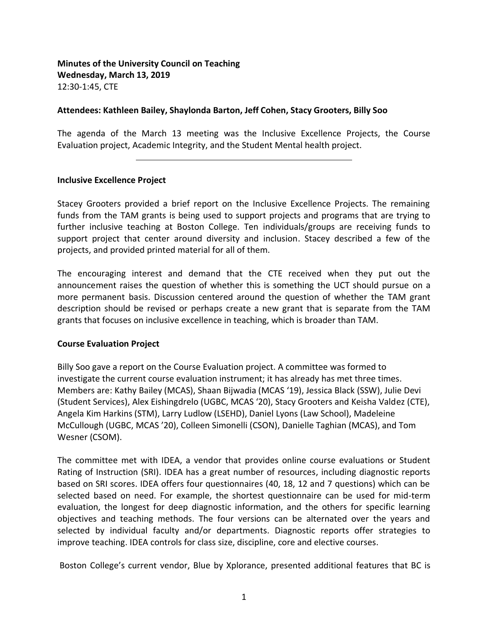# **Minutes of the University Council on Teaching Wednesday, March 13, 2019** 12:30-1:45, CTE

### **Attendees: Kathleen Bailey, Shaylonda Barton, Jeff Cohen, Stacy Grooters, Billy Soo**

The agenda of the March 13 meeting was the Inclusive Excellence Projects, the Course Evaluation project, Academic Integrity, and the Student Mental health project.

#### **Inclusive Excellence Project**

l

Stacey Grooters provided a brief report on the Inclusive Excellence Projects. The remaining funds from the TAM grants is being used to support projects and programs that are trying to further inclusive teaching at Boston College. Ten individuals/groups are receiving funds to support project that center around diversity and inclusion. Stacey described a few of the projects, and provided printed material for all of them.

The encouraging interest and demand that the CTE received when they put out the announcement raises the question of whether this is something the UCT should pursue on a more permanent basis. Discussion centered around the question of whether the TAM grant description should be revised or perhaps create a new grant that is separate from the TAM grants that focuses on inclusive excellence in teaching, which is broader than TAM.

#### **Course Evaluation Project**

Billy Soo gave a report on the Course Evaluation project. A committee was formed to investigate the current course evaluation instrument; it has already has met three times. Members are: Kathy Bailey (MCAS), Shaan Bijwadia (MCAS '19), Jessica Black (SSW), Julie Devi (Student Services), Alex Eishingdrelo (UGBC, MCAS '20), Stacy Grooters and Keisha Valdez (CTE), Angela Kim Harkins (STM), Larry Ludlow (LSEHD), Daniel Lyons (Law School), Madeleine McCullough (UGBC, MCAS '20), Colleen Simonelli (CSON), Danielle Taghian (MCAS), and Tom Wesner (CSOM).

The committee met with IDEA, a vendor that provides online course evaluations or Student Rating of Instruction (SRI). IDEA has a great number of resources, including diagnostic reports based on SRI scores. IDEA offers four questionnaires (40, 18, 12 and 7 questions) which can be selected based on need. For example, the shortest questionnaire can be used for mid-term evaluation, the longest for deep diagnostic information, and the others for specific learning objectives and teaching methods. The four versions can be alternated over the years and selected by individual faculty and/or departments. Diagnostic reports offer strategies to improve teaching. IDEA controls for class size, discipline, core and elective courses.

Boston College's current vendor, Blue by Xplorance, presented additional features that BC is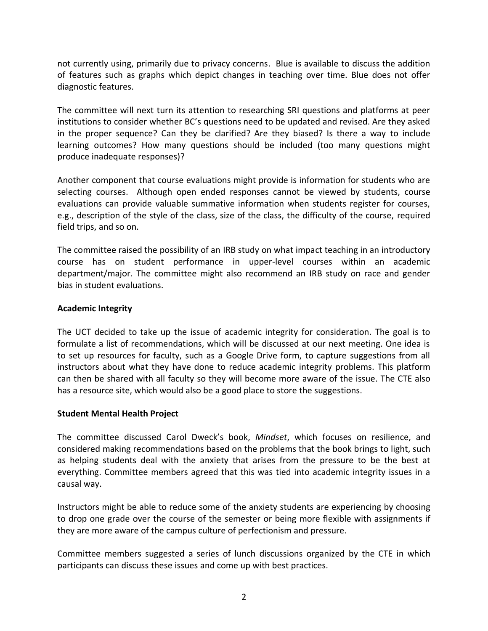not currently using, primarily due to privacy concerns. Blue is available to discuss the addition of features such as graphs which depict changes in teaching over time. Blue does not offer diagnostic features.

The committee will next turn its attention to researching SRI questions and platforms at peer institutions to consider whether BC's questions need to be updated and revised. Are they asked in the proper sequence? Can they be clarified? Are they biased? Is there a way to include learning outcomes? How many questions should be included (too many questions might produce inadequate responses)?

Another component that course evaluations might provide is information for students who are selecting courses. Although open ended responses cannot be viewed by students, course evaluations can provide valuable summative information when students register for courses, e.g., description of the style of the class, size of the class, the difficulty of the course, required field trips, and so on.

The committee raised the possibility of an IRB study on what impact teaching in an introductory course has on student performance in upper-level courses within an academic department/major. The committee might also recommend an IRB study on race and gender bias in student evaluations.

### **Academic Integrity**

The UCT decided to take up the issue of academic integrity for consideration. The goal is to formulate a list of recommendations, which will be discussed at our next meeting. One idea is to set up resources for faculty, such as a Google Drive form, to capture suggestions from all instructors about what they have done to reduce academic integrity problems. This platform can then be shared with all faculty so they will become more aware of the issue. The CTE also has a resource site, which would also be a good place to store the suggestions.

# **Student Mental Health Project**

The committee discussed Carol Dweck's book, *Mindset*, which focuses on resilience, and considered making recommendations based on the problems that the book brings to light, such as helping students deal with the anxiety that arises from the pressure to be the best at everything. Committee members agreed that this was tied into academic integrity issues in a causal way.

Instructors might be able to reduce some of the anxiety students are experiencing by choosing to drop one grade over the course of the semester or being more flexible with assignments if they are more aware of the campus culture of perfectionism and pressure.

Committee members suggested a series of lunch discussions organized by the CTE in which participants can discuss these issues and come up with best practices.